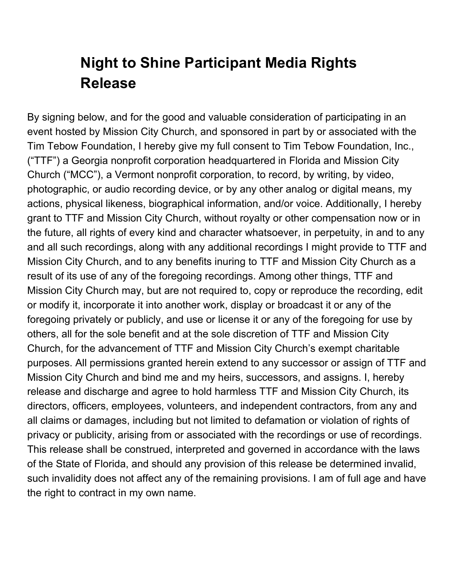## **Night to Shine Participant Media Rights Release**

By signing below, and for the good and valuable consideration of participating in an event hosted by Mission City Church, and sponsored in part by or associated with the Tim Tebow Foundation, I hereby give my full consent to Tim Tebow Foundation, Inc., ("TTF") a Georgia nonprofit corporation headquartered in Florida and Mission City Church ("MCC"), a Vermont nonprofit corporation, to record, by writing, by video, photographic, or audio recording device, or by any other analog or digital means, my actions, physical likeness, biographical information, and/or voice. Additionally, I hereby grant to TTF and Mission City Church, without royalty or other compensation now or in the future, all rights of every kind and character whatsoever, in perpetuity, in and to any and all such recordings, along with any additional recordings I might provide to TTF and Mission City Church, and to any benefits inuring to TTF and Mission City Church as a result of its use of any of the foregoing recordings. Among other things, TTF and Mission City Church may, but are not required to, copy or reproduce the recording, edit or modify it, incorporate it into another work, display or broadcast it or any of the foregoing privately or publicly, and use or license it or any of the foregoing for use by others, all for the sole benefit and at the sole discretion of TTF and Mission City Church, for the advancement of TTF and Mission City Church's exempt charitable purposes. All permissions granted herein extend to any successor or assign of TTF and Mission City Church and bind me and my heirs, successors, and assigns. I, hereby release and discharge and agree to hold harmless TTF and Mission City Church, its directors, officers, employees, volunteers, and independent contractors, from any and all claims or damages, including but not limited to defamation or violation of rights of privacy or publicity, arising from or associated with the recordings or use of recordings. This release shall be construed, interpreted and governed in accordance with the laws of the State of Florida, and should any provision of this release be determined invalid, such invalidity does not affect any of the remaining provisions. I am of full age and have the right to contract in my own name.